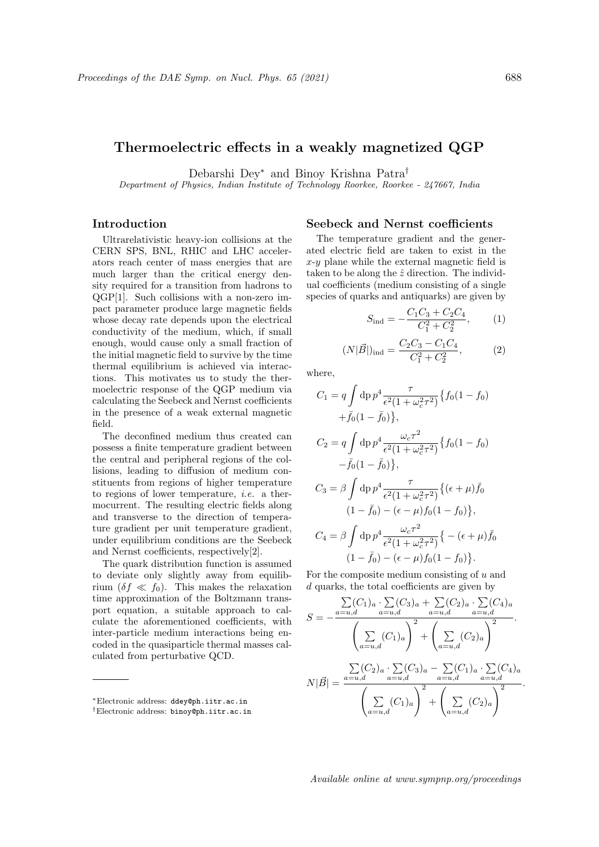## Thermoelectric effects in a weakly magnetized QGP

Debarshi Dey<sup>∗</sup> and Binoy Krishna Patra†

Department of Physics, Indian Institute of Technology Roorkee, Roorkee - 247667, India

## Introduction

Ultrarelativistic heavy-ion collisions at the CERN SPS, BNL, RHIC and LHC accelerators reach center of mass energies that are much larger than the critical energy density required for a transition from hadrons to QGP[1]. Such collisions with a non-zero impact parameter produce large magnetic fields whose decay rate depends upon the electrical conductivity of the medium, which, if small enough, would cause only a small fraction of the initial magnetic field to survive by the time thermal equilibrium is achieved via interactions. This motivates us to study the thermoelectric response of the QGP medium via calculating the Seebeck and Nernst coefficients in the presence of a weak external magnetic field.

The deconfined medium thus created can possess a finite temperature gradient between the central and peripheral regions of the collisions, leading to diffusion of medium constituents from regions of higher temperature to regions of lower temperature, i.e. a thermocurrent. The resulting electric fields along and transverse to the direction of temperature gradient per unit temperature gradient, under equilibrium conditions are the Seebeck and Nernst coefficients, respectively[2].

The quark distribution function is assumed to deviate only slightly away from equilibrium  $(\delta f \ll f_0)$ . This makes the relaxation time approximation of the Boltzmann transport equation, a suitable approach to calculate the aforementioned coefficients, with inter-particle medium interactions being encoded in the quasiparticle thermal masses calculated from perturbative QCD.

## Seebeck and Nernst coefficients

The temperature gradient and the generated electric field are taken to exist in the  $x-y$  plane while the external magnetic field is taken to be along the  $\hat{z}$  direction. The individual coefficients (medium consisting of a single species of quarks and antiquarks) are given by

$$
S_{\rm ind} = -\frac{C_1 C_3 + C_2 C_4}{C_1^2 + C_2^2},\qquad(1)
$$

$$
(N|\vec{B}|)_{\text{ind}} = \frac{C_2 C_3 - C_1 C_4}{C_1^2 + C_2^2},\tag{2}
$$

where,

$$
C_1 = q \int dp \, p^4 \frac{\tau}{\epsilon^2 (1 + \omega_c^2 \tau^2)} \{ f_0 (1 - f_0) + \bar{f}_0 (1 - \bar{f}_0) \},
$$
  
\n
$$
C_2 = q \int dp \, p^4 \frac{\omega_c \tau^2}{\epsilon^2 (1 + \omega_c^2 \tau^2)} \{ f_0 (1 - f_0) - \bar{f}_0 (1 - \bar{f}_0) \},
$$
  
\n
$$
C_3 = \beta \int dp \, p^4 \frac{\tau}{\epsilon^2 (1 + \omega_c^2 \tau^2)} \{ (\epsilon + \mu) \bar{f}_0 (1 - \bar{f}_0) - (\epsilon - \mu) f_0 (1 - f_0) \},
$$
  
\n
$$
C_4 = \beta \int dp \, p^4 \frac{\omega_c \tau^2}{\epsilon^2 (1 + \omega_c^2 \tau^2)} \{ - (\epsilon + \mu) \bar{f}_0 (1 - \bar{f}_0) - (\epsilon - \mu) f_0 (1 - f_0) \}.
$$

For the composite medium consisting of  $u$  and d quarks, the total coefficients are given by

$$
S = -\frac{\sum_{a=u,d} (C_1)_a \cdot \sum_{a=u,d} (C_2)_a \cdot \sum_{a=u,d} (C_4)_a}{\left(\sum_{a=u,d} (C_1)_a\right)^2 + \left(\sum_{a=u,d} (C_2)_a\right)^2}.
$$
  

$$
N|\vec{B}| = \frac{\sum_{a=u,d} (C_2)_a \cdot \sum_{a=u,d} (C_3)_a - \sum_{a=u,d} (C_1)_a \cdot \sum_{a=u,d} (C_4)_a}{\left(\sum_{a=u,d} (C_1)_a\right)^2 + \left(\sum_{a=u,d} (C_2)_a\right)^2}.
$$

Available online at www.sympnp.org/proceedings

<sup>∗</sup>Electronic address: ddey@ph.iitr.ac.in

<sup>†</sup>Electronic address: binoy@ph.iitr.ac.in